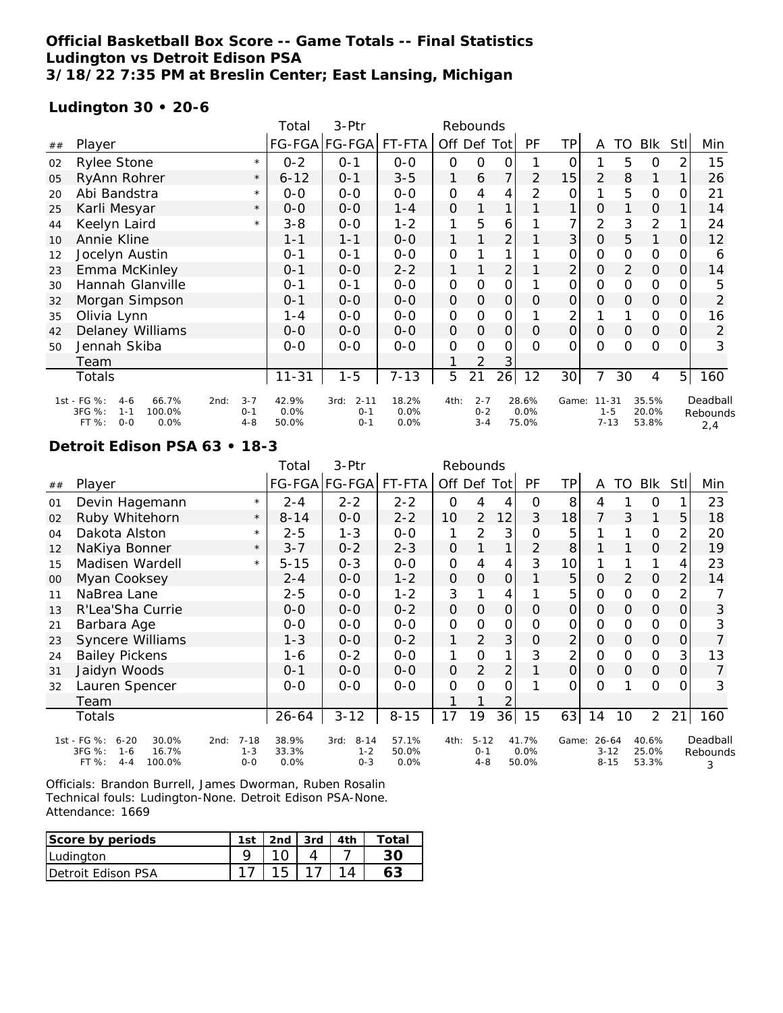## **Official Basketball Box Score -- Game Totals -- Final Statistics Ludington vs Detroit Edison PSA 3/18/22 7:35 PM at Breslin Center; East Lansing, Michigan**

## **Ludington 30 • 20-6**

|    |                                                                                                  |                               | Total                  | 3-Ptr                                  |                       |               | Rebounds                      |                |                        |                 |                                  |               |                         |                |                             |
|----|--------------------------------------------------------------------------------------------------|-------------------------------|------------------------|----------------------------------------|-----------------------|---------------|-------------------------------|----------------|------------------------|-----------------|----------------------------------|---------------|-------------------------|----------------|-----------------------------|
| ## | Player                                                                                           |                               |                        | FG-FGA FG-FGA FT-FTA                   |                       | Off Def Tot   |                               |                | PF                     | TP              | A                                | TO            | Blk                     | <b>Stl</b>     | Min                         |
| 02 | <b>Rylee Stone</b>                                                                               | $\star$                       | $0 - 2$                | $0 - 1$                                | $0 - 0$               | $\mathbf 0$   | O                             | 0              |                        | 0               |                                  | 5             | $\circ$                 | 2              | 15                          |
| 05 | RyAnn Rohrer                                                                                     | $\star$                       | $6 - 12$               | $0 - 1$                                | $3 - 5$               | 1             | 6                             | 7              | 2                      | 15              | $\overline{2}$                   | 8             | 1                       |                | 26                          |
| 20 | Abi Bandstra                                                                                     | $\star$                       | $0 - 0$                | $0 - 0$                                | $0 - 0$               | $\mathbf{O}$  | 4                             | 4              | 2                      | 0               |                                  | 5             | $\mathbf 0$             | 0              | 21                          |
| 25 | Karli Mesyar                                                                                     | $\star$                       | $0 - 0$                | $0 - 0$                                | $1 - 4$               | 0             |                               | 1              |                        |                 | O                                |               | 0                       |                | 14                          |
| 44 | Keelyn Laird                                                                                     | $\star$                       | $3 - 8$                | $0 - 0$                                | $1 - 2$               | 1             | 5                             | 6              |                        | $\overline{7}$  | 2                                | 3             | 2                       |                | 24                          |
| 10 | Annie Kline                                                                                      |                               | $1 - 1$                | $1 - 1$                                | $0 - 0$               | 1             |                               | $\overline{2}$ |                        | 3               | $\mathcal{O}$                    | 5             | 1                       | 0              | 12                          |
| 12 | Jocelyn Austin                                                                                   |                               | $0 - 1$                | $0 - 1$                                | $0 - 0$               | $\mathbf 0$   |                               | 1              |                        | 0               | $\mathbf 0$                      | O             | $\mathbf 0$             | 0              | 6                           |
| 23 | Emma McKinley                                                                                    |                               | $0 - 1$                | $O-O$                                  | $2 - 2$               | $\mathbf{1}$  |                               | $\overline{2}$ |                        | $\overline{2}$  | $\mathsf{O}\xspace$              | 2             | $\mathcal{O}$           | $\overline{O}$ | 14                          |
| 30 | Hannah Glanville                                                                                 |                               | $0 - 1$                | $0 - 1$                                | $O-O$                 | $\mathbf 0$   | O                             | 0              |                        | 0               | O                                | 0             | $\mathbf 0$             | 0              | 5                           |
| 32 | Morgan Simpson                                                                                   |                               | $O - 1$                | $0 - 0$                                | $0 - 0$               | 0             | 0                             | 0              | Ο                      | 0               | $\Omega$                         | $\Omega$      | 0                       | 0              | 2                           |
| 35 | Olivia Lynn                                                                                      |                               | 1-4                    | $0 - 0$                                | $0-0$                 | 0             | 0                             | 0              |                        | 2               |                                  |               | 0                       | 0              | 16                          |
| 42 | Delaney Williams                                                                                 |                               | $0 - 0$                | $0-0$                                  | $0-0$                 | 0             | $\mathcal{O}$                 | 0              | $\Omega$               | 0               | $\mathcal{O}$                    | $\mathcal{O}$ | $\mathbf 0$             | $\overline{O}$ | 2                           |
| 50 | Jennah Skiba                                                                                     |                               | $0 - 0$                | $0 - 0$                                | $0-0$                 | $\mathcal{O}$ | $\Omega$                      | 0              | $\Omega$               | 0               | $\Omega$                         | $\Omega$      | $\mathbf 0$             | 0              | 3                           |
|    | Team                                                                                             |                               |                        |                                        |                       |               | 2                             | 3              |                        |                 |                                  |               |                         |                |                             |
|    | Totals                                                                                           |                               | $11 - 31$              | $1 - 5$                                | $7 - 13$              | 5             | 21                            | 26             | 12                     | 30 <sup>1</sup> | 7                                | 30            | 4                       | 5 <sup>1</sup> | 160                         |
|    | 1st - FG %:<br>66.7%<br>2nd:<br>$4-6$<br>3FG %:<br>100.0%<br>$1 - 1$<br>FT %:<br>$O - O$<br>0.0% | $3 - 7$<br>$0 - 1$<br>$4 - 8$ | 42.9%<br>0.0%<br>50.0% | $2 - 11$<br>3rd:<br>$0 - 1$<br>$O - 1$ | 18.2%<br>0.0%<br>0.0% | 4th:          | $2 - 7$<br>$0 - 2$<br>$3 - 4$ |                | 28.6%<br>0.0%<br>75.0% | Game:           | $11 - 31$<br>$1 - 5$<br>$7 - 13$ |               | 35.5%<br>20.0%<br>53.8% |                | Deadball<br>Rebounds<br>2.4 |

#### **Detroit Edison PSA 63 • 18-3**

| Rebounds                                                                                |               | 3-Ptr              | Total         |                    |                                                          |        |
|-----------------------------------------------------------------------------------------|---------------|--------------------|---------------|--------------------|----------------------------------------------------------|--------|
| Off Def Tot<br>PF<br>ΤP<br><b>BIK</b><br>TO<br>StII<br>Min<br>A                         | FT-FTA        | FG-FGA FG-FGA      |               |                    | Player                                                   | ##     |
| 8<br>23<br>0<br>0<br>$\Omega$<br>4<br>4<br>4                                            | $2 - 2$       | $2 - 2$            | $2 - 4$       | $\star$            | Devin Hagemann                                           | 01     |
| 3<br>7<br>10<br>$\overline{2}$<br>18<br>3<br>12<br>1<br>5<br>18                         | $2 - 2$       | $O-O$              | $8 - 14$      | $\star$            | Ruby Whitehorn                                           | 02     |
| 3<br>2<br>5<br>20<br>1<br>0<br>$\mathcal{O}$<br>2                                       | $0-0$         | $1 - 3$            | $2 - 5$       | $\star$            | Dakota Alston                                            | 04     |
| 2<br>8<br>19<br>0<br>$\Omega$<br>2                                                      | $2 - 3$       | $0 - 2$            | $3 - 7$       | $\star$            | NaKiya Bonner                                            | 12     |
| 3<br>10<br>$\mathbf 0$<br>23<br>4<br>4<br>4                                             | $0 - 0$       | $0 - 3$            | $5 - 15$      | $\star$            | Madisen Wardell                                          | 15     |
| 5<br>$\overline{2}$<br>2<br>0<br>$\mathbf{O}$<br>$\Omega$<br>0<br>$\circ$<br>14         | $1 - 2$       | $O-O$              | $2 - 4$       |                    | Myan Cooksey                                             | $00\,$ |
| 3<br>5<br>$\mathcal{O}$<br>$\mathcal{O}$<br>2<br>4<br>0                                 | $1 - 2$       | $0 - 0$            | $2 - 5$       |                    | NaBrea Lane                                              | 11     |
| 0<br>$\mathbf 0$<br>$\mathbf 0$<br>3<br>0<br>$\circ$<br>$\Omega$<br>O<br>0<br>0         | $0 - 2$       | $0 - 0$            | $0 - 0$       |                    | R'Lea'Sha Currie                                         | 13     |
| $\overline{0}$<br>0<br>0<br>0<br>$\mathcal{O}$<br>3<br>O<br>O<br>$\mathcal{O}$<br>Ω     | $0-0$         | $0-0$              | $0 - 0$       |                    | Barbara Age                                              | 21     |
| 3<br>2<br>2<br>1<br>$\circ$<br>$\circ$<br>O<br>$\Omega$<br>0                            | $0 - 2$       | $0 - 0$            | $1 - 3$       |                    | Syncere Williams                                         | 23     |
| 3<br>2<br>$\mathcal{O}$<br>1<br>$\mathcal{O}$<br>3<br>13<br>0<br>0                      | $0 - 0$       | $0 - 2$            | 1-6           |                    | <b>Bailey Pickens</b>                                    | 24     |
| $\overline{2}$<br>2<br>$\Omega$<br>O<br>$\mathcal{O}$<br>$\mathcal{O}$<br>$\Omega$<br>O | $0 - 0$       | $0 - 0$            | $0 - 1$       |                    | Jaidyn Woods                                             | 31     |
| $\Omega$<br>$\Omega$<br>$\Omega$<br>$\Omega$<br>$\mathcal{O}$<br>3<br>Ο                 | $O-O$         | $0 - 0$            | 0-0           |                    | Lauren Spencer                                           | 32     |
| 2                                                                                       |               |                    |               |                    | Team                                                     |        |
| 17<br>19<br>36<br>15<br>63<br>2<br>21<br>160<br>14<br>10                                | $8 - 15$      | $3 - 12$           | $26 - 64$     |                    | Totals                                                   |        |
| Deadball<br>41.7%<br>4th:<br>$5 - 12$<br>Game:<br>$26 - 64$<br>40.6%                    | 57.1%         | $8 - 14$<br>3rd:   | 38.9%         | $7 - 18$<br>2nd:   | 1st - FG %:<br>$6 - 20$<br>30.0%                         |        |
| $O - 1$<br>Rebounds<br>3                                                                |               |                    |               |                    |                                                          |        |
| 0.0%<br>25.0%<br>$3 - 12$<br>53.3%<br>$4 - 8$<br>50.0%<br>$8 - 15$                      | 50.0%<br>0.0% | $1 - 2$<br>$0 - 3$ | 33.3%<br>0.0% | $1 - 3$<br>$0 - 0$ | 3FG %:<br>16.7%<br>$1 - 6$<br>FT %:<br>100.0%<br>$4 - 4$ |        |

| Score by periods           | 1st | 2 <sub>nd</sub> | 3rd | fotal |
|----------------------------|-----|-----------------|-----|-------|
| Ludington                  |     |                 |     |       |
| <b>IDetroit Edison PSA</b> |     |                 |     |       |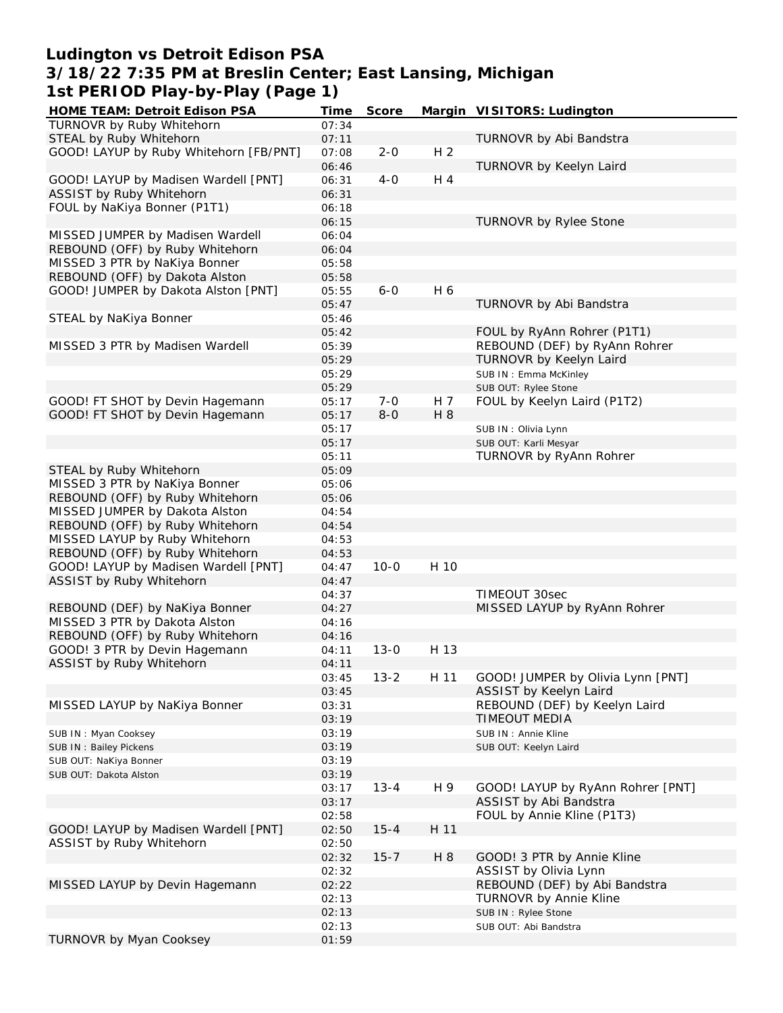# **Ludington vs Detroit Edison PSA 3/18/22 7:35 PM at Breslin Center; East Lansing, Michigan 1st PERIOD Play-by-Play (Page 1)**

| HOME TEAM: Detroit Edison PSA          | Time  | Score    |                | Margin VISITORS: Ludington        |
|----------------------------------------|-------|----------|----------------|-----------------------------------|
| TURNOVR by Ruby Whitehorn              | 07:34 |          |                |                                   |
| STEAL by Ruby Whitehorn                | 07:11 |          |                | TURNOVR by Abi Bandstra           |
| GOOD! LAYUP by Ruby Whitehorn [FB/PNT] | 07:08 | $2 - 0$  | H <sub>2</sub> |                                   |
|                                        | 06:46 |          |                | TURNOVR by Keelyn Laird           |
| GOOD! LAYUP by Madisen Wardell [PNT]   | 06:31 | $4 - 0$  | H 4            |                                   |
| ASSIST by Ruby Whitehorn               | 06:31 |          |                |                                   |
| FOUL by NaKiya Bonner (P1T1)           | 06:18 |          |                |                                   |
|                                        | 06:15 |          |                |                                   |
|                                        |       |          |                | TURNOVR by Rylee Stone            |
| MISSED JUMPER by Madisen Wardell       | 06:04 |          |                |                                   |
| REBOUND (OFF) by Ruby Whitehorn        | 06:04 |          |                |                                   |
| MISSED 3 PTR by NaKiya Bonner          | 05:58 |          |                |                                   |
| REBOUND (OFF) by Dakota Alston         | 05:58 |          |                |                                   |
| GOOD! JUMPER by Dakota Alston [PNT]    | 05:55 | $6 - 0$  | H 6            |                                   |
|                                        | 05:47 |          |                | TURNOVR by Abi Bandstra           |
| STEAL by NaKiya Bonner                 | 05:46 |          |                |                                   |
|                                        | 05:42 |          |                | FOUL by RyAnn Rohrer (P1T1)       |
| MISSED 3 PTR by Madisen Wardell        | 05:39 |          |                | REBOUND (DEF) by RyAnn Rohrer     |
|                                        | 05:29 |          |                | TURNOVR by Keelyn Laird           |
|                                        | 05:29 |          |                | SUB IN: Emma McKinley             |
|                                        | 05:29 |          |                | SUB OUT: Rylee Stone              |
| GOOD! FT SHOT by Devin Hagemann        | 05:17 | $7 - 0$  | H 7            | FOUL by Keelyn Laird (P1T2)       |
| GOOD! FT SHOT by Devin Hagemann        | 05:17 | $8-0$    | H 8            |                                   |
|                                        | 05:17 |          |                |                                   |
|                                        |       |          |                | SUB IN: Olivia Lynn               |
|                                        | 05:17 |          |                | SUB OUT: Karli Mesyar             |
|                                        | 05:11 |          |                | TURNOVR by RyAnn Rohrer           |
| STEAL by Ruby Whitehorn                | 05:09 |          |                |                                   |
| MISSED 3 PTR by NaKiya Bonner          | 05:06 |          |                |                                   |
| REBOUND (OFF) by Ruby Whitehorn        | 05:06 |          |                |                                   |
| MISSED JUMPER by Dakota Alston         | 04:54 |          |                |                                   |
| REBOUND (OFF) by Ruby Whitehorn        | 04:54 |          |                |                                   |
| MISSED LAYUP by Ruby Whitehorn         | 04:53 |          |                |                                   |
| REBOUND (OFF) by Ruby Whitehorn        | 04:53 |          |                |                                   |
| GOOD! LAYUP by Madisen Wardell [PNT]   | 04:47 | $10 - 0$ | H 10           |                                   |
| ASSIST by Ruby Whitehorn               | 04:47 |          |                |                                   |
|                                        | 04:37 |          |                | TIMEOUT 30sec                     |
| REBOUND (DEF) by NaKiya Bonner         | 04:27 |          |                | MISSED LAYUP by RyAnn Rohrer      |
| MISSED 3 PTR by Dakota Alston          | 04:16 |          |                |                                   |
| REBOUND (OFF) by Ruby Whitehorn        | 04:16 |          |                |                                   |
| GOOD! 3 PTR by Devin Hagemann          | 04:11 | $13 - 0$ | H 13           |                                   |
| ASSIST by Ruby Whitehorn               | 04:11 |          |                |                                   |
|                                        |       |          |                |                                   |
|                                        | 03:45 | $13 - 2$ | H 11           | GOOD! JUMPER by Olivia Lynn [PNT] |
|                                        | 03:45 |          |                | ASSIST by Keelyn Laird            |
| MISSED LAYUP by NaKiya Bonner          | 03:31 |          |                | REBOUND (DEF) by Keelyn Laird     |
|                                        | 03:19 |          |                | TIMEOUT MEDIA                     |
| SUB IN: Myan Cooksey                   | 03:19 |          |                | SUB IN: Annie Kline               |
| SUB IN: Bailey Pickens                 | 03:19 |          |                | SUB OUT: Keelyn Laird             |
| SUB OUT: NaKiya Bonner                 | 03:19 |          |                |                                   |
| SUB OUT: Dakota Alston                 | 03:19 |          |                |                                   |
|                                        | 03:17 | $13 - 4$ | H 9            | GOOD! LAYUP by RyAnn Rohrer [PNT] |
|                                        | 03:17 |          |                | ASSIST by Abi Bandstra            |
|                                        | 02:58 |          |                | FOUL by Annie Kline (P1T3)        |
| GOOD! LAYUP by Madisen Wardell [PNT]   | 02:50 | $15 - 4$ | H 11           |                                   |
| ASSIST by Ruby Whitehorn               | 02:50 |          |                |                                   |
|                                        | 02:32 | $15 - 7$ | H 8            | GOOD! 3 PTR by Annie Kline        |
|                                        | 02:32 |          |                | ASSIST by Olivia Lynn             |
| MISSED LAYUP by Devin Hagemann         | 02:22 |          |                | REBOUND (DEF) by Abi Bandstra     |
|                                        | 02:13 |          |                | TURNOVR by Annie Kline            |
|                                        |       |          |                |                                   |
|                                        | 02:13 |          |                | SUB IN: Rylee Stone               |
|                                        | 02:13 |          |                | SUB OUT: Abi Bandstra             |
| TURNOVR by Myan Cooksey                | 01:59 |          |                |                                   |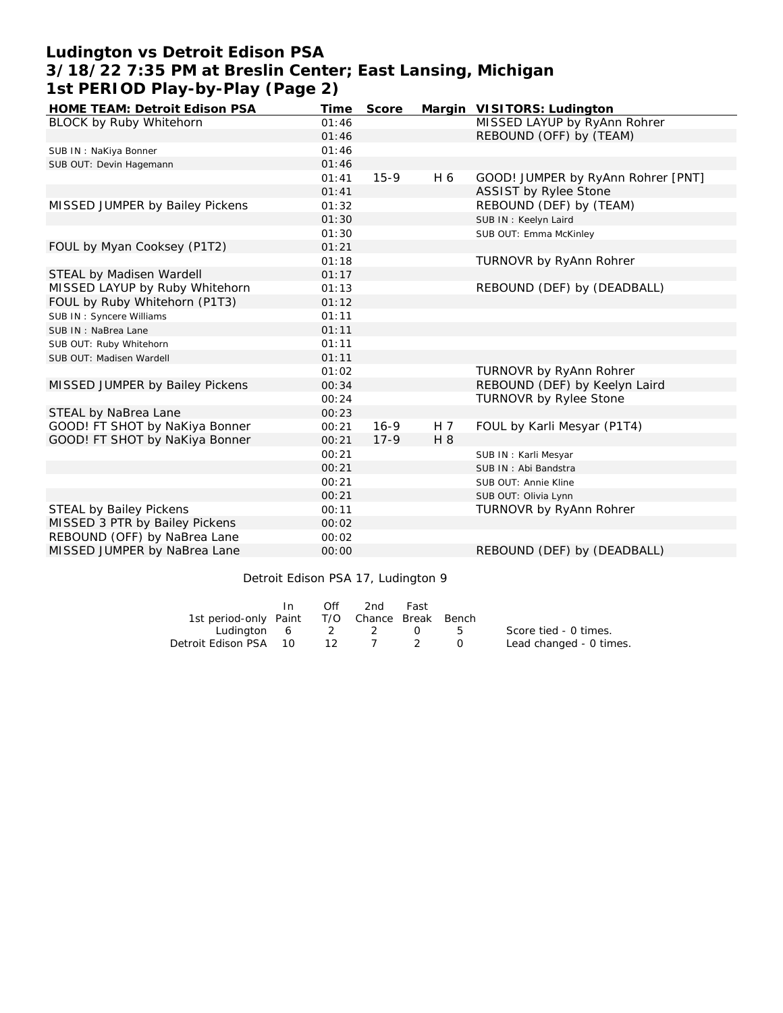# **Ludington vs Detroit Edison PSA 3/18/22 7:35 PM at Breslin Center; East Lansing, Michigan 1st PERIOD Play-by-Play (Page 2)**

| HOME TEAM: Detroit Edison PSA   | Time  | Score  |     | Margin VISITORS: Ludington         |
|---------------------------------|-------|--------|-----|------------------------------------|
| BLOCK by Ruby Whitehorn         | 01:46 |        |     | MISSED LAYUP by RyAnn Rohrer       |
|                                 | 01:46 |        |     | REBOUND (OFF) by (TEAM)            |
| SUB IN: NaKiya Bonner           | 01:46 |        |     |                                    |
| SUB OUT: Devin Hagemann         | 01:46 |        |     |                                    |
|                                 | 01:41 | $15-9$ | H 6 | GOOD! JUMPER by RyAnn Rohrer [PNT] |
|                                 | 01:41 |        |     | <b>ASSIST by Rylee Stone</b>       |
| MISSED JUMPER by Bailey Pickens | 01:32 |        |     | REBOUND (DEF) by (TEAM)            |
|                                 | 01:30 |        |     | SUB IN: Keelyn Laird               |
|                                 | 01:30 |        |     | SUB OUT: Emma McKinley             |
| FOUL by Myan Cooksey (P1T2)     | 01:21 |        |     |                                    |
|                                 | 01:18 |        |     | <b>TURNOVR by RyAnn Rohrer</b>     |
| STEAL by Madisen Wardell        | 01:17 |        |     |                                    |
| MISSED LAYUP by Ruby Whitehorn  | 01:13 |        |     | REBOUND (DEF) by (DEADBALL)        |
| FOUL by Ruby Whitehorn (P1T3)   | 01:12 |        |     |                                    |
| SUB IN: Syncere Williams        | 01:11 |        |     |                                    |
| SUB IN: NaBrea Lane             | 01:11 |        |     |                                    |
| SUB OUT: Ruby Whitehorn         | 01:11 |        |     |                                    |
| SUB OUT: Madisen Wardell        | 01:11 |        |     |                                    |
|                                 | 01:02 |        |     | TURNOVR by RyAnn Rohrer            |
| MISSED JUMPER by Bailey Pickens | 00:34 |        |     | REBOUND (DEF) by Keelyn Laird      |
|                                 | 00:24 |        |     | TURNOVR by Rylee Stone             |
| STEAL by NaBrea Lane            | 00:23 |        |     |                                    |
| GOOD! FT SHOT by NaKiya Bonner  | 00:21 | $16-9$ | H 7 | FOUL by Karli Mesyar (P1T4)        |
| GOOD! FT SHOT by NaKiya Bonner  | 00:21 | $17-9$ | H 8 |                                    |
|                                 | 00:21 |        |     | SUB IN: Karli Mesyar               |
|                                 | 00:21 |        |     | SUB IN: Abi Bandstra               |
|                                 | 00:21 |        |     | SUB OUT: Annie Kline               |
|                                 | 00:21 |        |     | SUB OUT: Olivia Lynn               |
| <b>STEAL by Bailey Pickens</b>  | 00:11 |        |     | <b>TURNOVR by RyAnn Rohrer</b>     |
| MISSED 3 PTR by Bailey Pickens  | 00:02 |        |     |                                    |
| REBOUND (OFF) by NaBrea Lane    | 00:02 |        |     |                                    |
| MISSED JUMPER by NaBrea Lane    | 00:00 |        |     | REBOUND (DEF) by (DEADBALL)        |
|                                 |       |        |     |                                    |

Detroit Edison PSA 17, Ludington 9

|                                              | In. | Off | 2nd -                | Fast |           |                         |
|----------------------------------------------|-----|-----|----------------------|------|-----------|-------------------------|
| 1st period-only Paint T/O Chance Break Bench |     |     |                      |      |           |                         |
| Ludington 6 2 2 0                            |     |     |                      |      | $5 -$     | Score tied - 0 times.   |
| Detroit Edison PSA 10                        |     |     | $12 \quad 7 \quad 2$ |      | $\bigcap$ | Lead changed - 0 times. |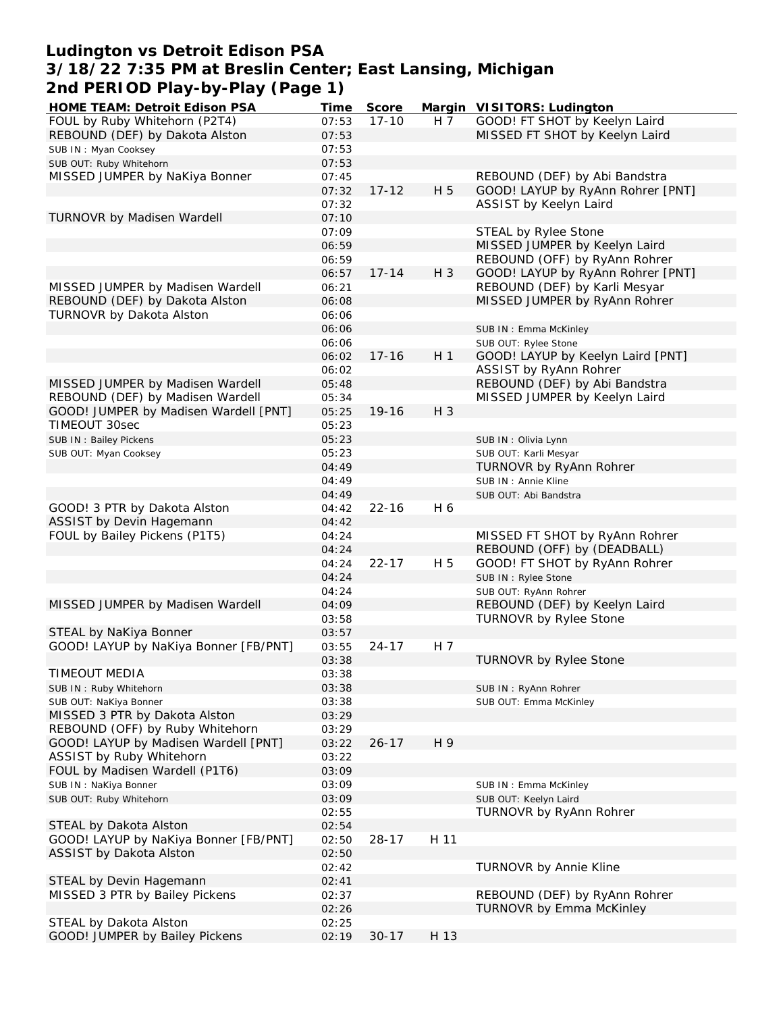## **Ludington vs Detroit Edison PSA 3/18/22 7:35 PM at Breslin Center; East Lansing, Michigan 2nd PERIOD Play-by-Play (Page 1)**

| <b>HOME TEAM: Detroit Edison PSA</b>  | Time  | Score     |                | Margin VISITORS: Ludington        |
|---------------------------------------|-------|-----------|----------------|-----------------------------------|
| FOUL by Ruby Whitehorn (P2T4)         | 07:53 | $17 - 10$ | H <sub>7</sub> | GOOD! FT SHOT by Keelyn Laird     |
| REBOUND (DEF) by Dakota Alston        | 07:53 |           |                | MISSED FT SHOT by Keelyn Laird    |
| SUB IN: Myan Cooksey                  | 07:53 |           |                |                                   |
| SUB OUT: Ruby Whitehorn               | 07:53 |           |                |                                   |
| MISSED JUMPER by NaKiya Bonner        | 07:45 |           |                | REBOUND (DEF) by Abi Bandstra     |
|                                       | 07:32 | $17 - 12$ | H 5            | GOOD! LAYUP by RyAnn Rohrer [PNT] |
|                                       | 07:32 |           |                | ASSIST by Keelyn Laird            |
| TURNOVR by Madisen Wardell            | 07:10 |           |                |                                   |
|                                       | 07:09 |           |                | STEAL by Rylee Stone              |
|                                       | 06:59 |           |                | MISSED JUMPER by Keelyn Laird     |
|                                       | 06:59 |           |                | REBOUND (OFF) by RyAnn Rohrer     |
|                                       | 06:57 | $17 - 14$ | H 3            | GOOD! LAYUP by RyAnn Rohrer [PNT] |
| MISSED JUMPER by Madisen Wardell      | 06:21 |           |                | REBOUND (DEF) by Karli Mesyar     |
| REBOUND (DEF) by Dakota Alston        | 06:08 |           |                | MISSED JUMPER by RyAnn Rohrer     |
| TURNOVR by Dakota Alston              |       |           |                |                                   |
|                                       | 06:06 |           |                |                                   |
|                                       | 06:06 |           |                | SUB IN: Emma McKinley             |
|                                       | 06:06 |           |                | SUB OUT: Rylee Stone              |
|                                       | 06:02 | $17 - 16$ | H <sub>1</sub> | GOOD! LAYUP by Keelyn Laird [PNT] |
|                                       | 06:02 |           |                | ASSIST by RyAnn Rohrer            |
| MISSED JUMPER by Madisen Wardell      | 05:48 |           |                | REBOUND (DEF) by Abi Bandstra     |
| REBOUND (DEF) by Madisen Wardell      | 05:34 |           |                | MISSED JUMPER by Keelyn Laird     |
| GOOD! JUMPER by Madisen Wardell [PNT] | 05:25 | $19 - 16$ | H 3            |                                   |
| TIMEOUT 30sec                         | 05:23 |           |                |                                   |
| SUB IN: Bailey Pickens                | 05:23 |           |                | SUB IN: Olivia Lynn               |
| SUB OUT: Myan Cooksey                 | 05:23 |           |                | SUB OUT: Karli Mesyar             |
|                                       | 04:49 |           |                | TURNOVR by RyAnn Rohrer           |
|                                       | 04:49 |           |                | SUB IN : Annie Kline              |
|                                       | 04:49 |           |                | SUB OUT: Abi Bandstra             |
| GOOD! 3 PTR by Dakota Alston          | 04:42 | $22 - 16$ | H 6            |                                   |
| ASSIST by Devin Hagemann              | 04:42 |           |                |                                   |
| FOUL by Bailey Pickens (P1T5)         | 04:24 |           |                | MISSED FT SHOT by RyAnn Rohrer    |
|                                       | 04:24 |           |                | REBOUND (OFF) by (DEADBALL)       |
|                                       | 04:24 | $22 - 17$ | H 5            | GOOD! FT SHOT by RyAnn Rohrer     |
|                                       | 04:24 |           |                | SUB IN : Rylee Stone              |
|                                       | 04:24 |           |                | SUB OUT: RyAnn Rohrer             |
| MISSED JUMPER by Madisen Wardell      | 04:09 |           |                | REBOUND (DEF) by Keelyn Laird     |
|                                       | 03:58 |           |                | TURNOVR by Rylee Stone            |
| STEAL by NaKiya Bonner                | 03:57 |           |                |                                   |
| GOOD! LAYUP by NaKiya Bonner [FB/PNT] | 03:55 | $24 - 17$ | H 7            |                                   |
|                                       | 03:38 |           |                | TURNOVR by Rylee Stone            |
| TIMEOUT MEDIA                         |       |           |                |                                   |
|                                       | 03:38 |           |                |                                   |
| SUB IN: Ruby Whitehorn                | 03:38 |           |                | SUB IN: RyAnn Rohrer              |
| SUB OUT: NaKiya Bonner                | 03:38 |           |                | SUB OUT: Emma McKinley            |
| MISSED 3 PTR by Dakota Alston         | 03:29 |           |                |                                   |
| REBOUND (OFF) by Ruby Whitehorn       | 03:29 |           |                |                                   |
| GOOD! LAYUP by Madisen Wardell [PNT]  | 03:22 | $26 - 17$ | H 9            |                                   |
| ASSIST by Ruby Whitehorn              | 03:22 |           |                |                                   |
| FOUL by Madisen Wardell (P1T6)        | 03:09 |           |                |                                   |
| SUB IN: NaKiya Bonner                 | 03:09 |           |                | SUB IN: Emma McKinley             |
| SUB OUT: Ruby Whitehorn               | 03:09 |           |                | SUB OUT: Keelyn Laird             |
|                                       | 02:55 |           |                | TURNOVR by RyAnn Rohrer           |
| STEAL by Dakota Alston                | 02:54 |           |                |                                   |
| GOOD! LAYUP by NaKiya Bonner [FB/PNT] | 02:50 | $28 - 17$ | H 11           |                                   |
| ASSIST by Dakota Alston               | 02:50 |           |                |                                   |
|                                       | 02:42 |           |                | <b>TURNOVR by Annie Kline</b>     |
| STEAL by Devin Hagemann               | 02:41 |           |                |                                   |
| MISSED 3 PTR by Bailey Pickens        | 02:37 |           |                | REBOUND (DEF) by RyAnn Rohrer     |
|                                       | 02:26 |           |                | TURNOVR by Emma McKinley          |
| STEAL by Dakota Alston                | 02:25 |           |                |                                   |
| GOOD! JUMPER by Bailey Pickens        | 02:19 | $30 - 17$ | H 13           |                                   |
|                                       |       |           |                |                                   |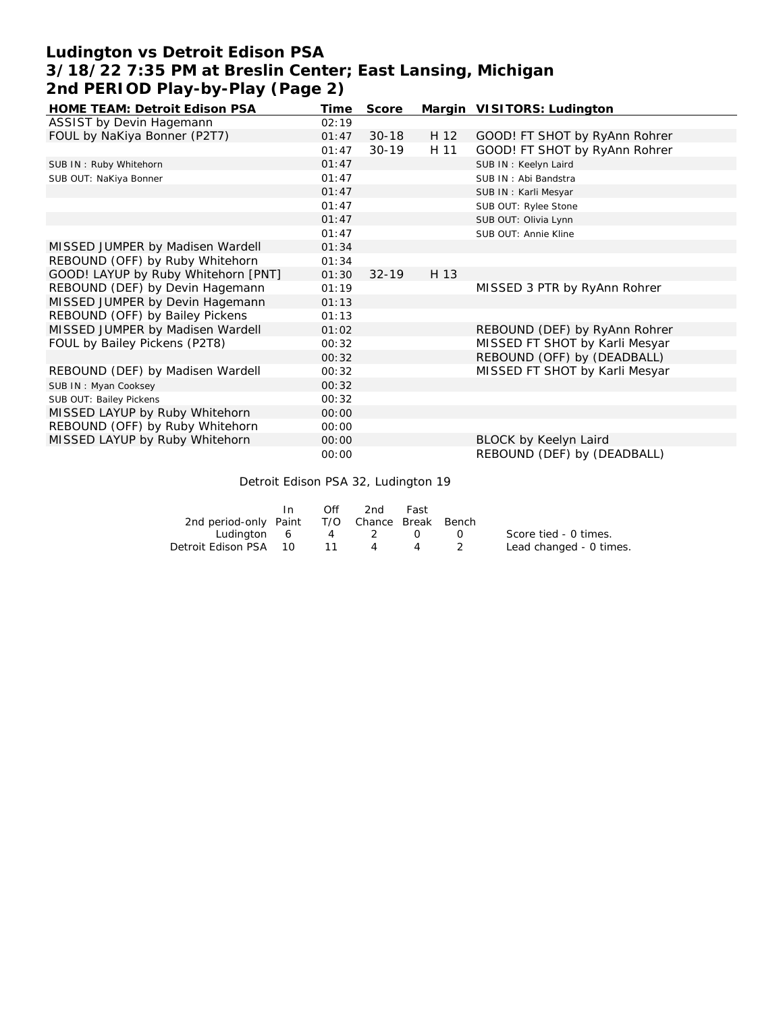# **Ludington vs Detroit Edison PSA 3/18/22 7:35 PM at Breslin Center; East Lansing, Michigan 2nd PERIOD Play-by-Play (Page 2)**

| <b>HOME TEAM: Detroit Edison PSA</b> | Time  | Score     |      | Margin VISITORS: Ludington     |
|--------------------------------------|-------|-----------|------|--------------------------------|
| ASSIST by Devin Hagemann             | 02:19 |           |      |                                |
| FOUL by NaKiya Bonner (P2T7)         | 01:47 | $30 - 18$ | H 12 | GOOD! FT SHOT by RyAnn Rohrer  |
|                                      | 01:47 | $30 - 19$ | H 11 | GOOD! FT SHOT by RyAnn Rohrer  |
| SUB IN: Ruby Whitehorn               | 01:47 |           |      | SUB IN: Keelyn Laird           |
| SUB OUT: NaKiya Bonner               | 01:47 |           |      | SUB IN: Abi Bandstra           |
|                                      | 01:47 |           |      | SUB IN: Karli Mesyar           |
|                                      | 01:47 |           |      | SUB OUT: Rylee Stone           |
|                                      | 01:47 |           |      | SUB OUT: Olivia Lynn           |
|                                      | 01:47 |           |      | SUB OUT: Annie Kline           |
| MISSED JUMPER by Madisen Wardell     | 01:34 |           |      |                                |
| REBOUND (OFF) by Ruby Whitehorn      | 01:34 |           |      |                                |
| GOOD! LAYUP by Ruby Whitehorn [PNT]  | 01:30 | $32 - 19$ | H 13 |                                |
| REBOUND (DEF) by Devin Hagemann      | 01:19 |           |      | MISSED 3 PTR by RyAnn Rohrer   |
| MISSED JUMPER by Devin Hagemann      | 01:13 |           |      |                                |
| REBOUND (OFF) by Bailey Pickens      | 01:13 |           |      |                                |
| MISSED JUMPER by Madisen Wardell     | 01:02 |           |      | REBOUND (DEF) by RyAnn Rohrer  |
| FOUL by Bailey Pickens (P2T8)        | 00:32 |           |      | MISSED FT SHOT by Karli Mesyar |
|                                      | 00:32 |           |      | REBOUND (OFF) by (DEADBALL)    |
| REBOUND (DEF) by Madisen Wardell     | 00:32 |           |      | MISSED FT SHOT by Karli Mesyar |
| SUB IN: Myan Cooksey                 | 00:32 |           |      |                                |
| SUB OUT: Bailey Pickens              | 00:32 |           |      |                                |
| MISSED LAYUP by Ruby Whitehorn       | 00:00 |           |      |                                |
| REBOUND (OFF) by Ruby Whitehorn      | 00:00 |           |      |                                |
| MISSED LAYUP by Ruby Whitehorn       | 00:00 |           |      | BLOCK by Keelyn Laird          |
|                                      | 00:00 |           |      | REBOUND (DEF) by (DEADBALL)    |

Detroit Edison PSA 32, Ludington 19

|                                              | In | Off | 2nd | Fast |                  |                         |
|----------------------------------------------|----|-----|-----|------|------------------|-------------------------|
| 2nd period-only Paint T/O Chance Break Bench |    |     |     |      |                  |                         |
| Ludinaton 6 4 2 0                            |    |     |     |      | $\left( \right)$ | Score tied - 0 times.   |
| Detroit Edison PSA 10                        |    | 11  | 4   | 4    | $\sim$ 2         | Lead changed - 0 times. |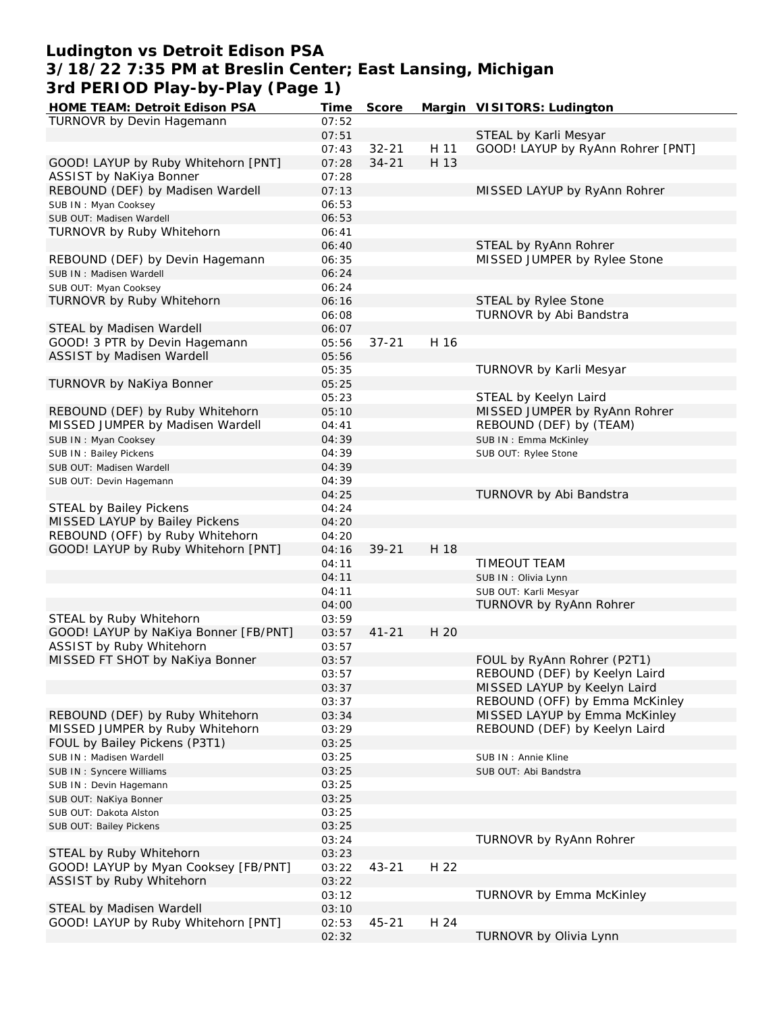## **Ludington vs Detroit Edison PSA 3/18/22 7:35 PM at Breslin Center; East Lansing, Michigan 3rd PERIOD Play-by-Play (Page 1)**

| HOME TEAM: Detroit Edison PSA         | Time  | Score     |      | Margin VISITORS: Ludington        |
|---------------------------------------|-------|-----------|------|-----------------------------------|
| TURNOVR by Devin Hagemann             | 07:52 |           |      |                                   |
|                                       | 07:51 |           |      | STEAL by Karli Mesyar             |
|                                       | 07:43 | $32 - 21$ | H 11 | GOOD! LAYUP by RyAnn Rohrer [PNT] |
| GOOD! LAYUP by Ruby Whitehorn [PNT]   | 07:28 | $34 - 21$ | H 13 |                                   |
| ASSIST by NaKiya Bonner               | 07:28 |           |      |                                   |
|                                       |       |           |      |                                   |
| REBOUND (DEF) by Madisen Wardell      | 07:13 |           |      | MISSED LAYUP by RyAnn Rohrer      |
| SUB IN: Myan Cooksey                  | 06:53 |           |      |                                   |
| SUB OUT: Madisen Wardell              | 06:53 |           |      |                                   |
| TURNOVR by Ruby Whitehorn             | 06:41 |           |      |                                   |
|                                       | 06:40 |           |      | STEAL by RyAnn Rohrer             |
| REBOUND (DEF) by Devin Hagemann       | 06:35 |           |      | MISSED JUMPER by Rylee Stone      |
| SUB IN: Madisen Wardell               | 06:24 |           |      |                                   |
| SUB OUT: Myan Cooksey                 | 06:24 |           |      |                                   |
|                                       |       |           |      |                                   |
| TURNOVR by Ruby Whitehorn             | 06:16 |           |      | STEAL by Rylee Stone              |
|                                       | 06:08 |           |      | TURNOVR by Abi Bandstra           |
| STEAL by Madisen Wardell              | 06:07 |           |      |                                   |
| GOOD! 3 PTR by Devin Hagemann         | 05:56 | $37 - 21$ | H 16 |                                   |
| ASSIST by Madisen Wardell             | 05:56 |           |      |                                   |
|                                       | 05:35 |           |      | TURNOVR by Karli Mesyar           |
| TURNOVR by NaKiya Bonner              | 05:25 |           |      |                                   |
|                                       | 05:23 |           |      | STEAL by Keelyn Laird             |
| REBOUND (DEF) by Ruby Whitehorn       | 05:10 |           |      | MISSED JUMPER by RyAnn Rohrer     |
|                                       |       |           |      |                                   |
| MISSED JUMPER by Madisen Wardell      | 04:41 |           |      | REBOUND (DEF) by (TEAM)           |
| SUB IN: Myan Cooksey                  | 04:39 |           |      | SUB IN: Emma McKinley             |
| SUB IN: Bailey Pickens                | 04:39 |           |      | SUB OUT: Rylee Stone              |
| SUB OUT: Madisen Wardell              | 04:39 |           |      |                                   |
| SUB OUT: Devin Hagemann               | 04:39 |           |      |                                   |
|                                       | 04:25 |           |      | TURNOVR by Abi Bandstra           |
| STEAL by Bailey Pickens               | 04:24 |           |      |                                   |
| MISSED LAYUP by Bailey Pickens        | 04:20 |           |      |                                   |
| REBOUND (OFF) by Ruby Whitehorn       | 04:20 |           |      |                                   |
|                                       |       |           |      |                                   |
| GOOD! LAYUP by Ruby Whitehorn [PNT]   | 04:16 | $39 - 21$ | H 18 |                                   |
|                                       | 04:11 |           |      | TIMEOUT TEAM                      |
|                                       | 04:11 |           |      | SUB IN: Olivia Lynn               |
|                                       | 04:11 |           |      | SUB OUT: Karli Mesyar             |
|                                       | 04:00 |           |      | TURNOVR by RyAnn Rohrer           |
| STEAL by Ruby Whitehorn               | 03:59 |           |      |                                   |
| GOOD! LAYUP by NaKiya Bonner [FB/PNT] | 03:57 | $41 - 21$ | H 20 |                                   |
| ASSIST by Ruby Whitehorn              | 03:57 |           |      |                                   |
| MISSED FT SHOT by NaKiya Bonner       | 03:57 |           |      | FOUL by RyAnn Rohrer (P2T1)       |
|                                       |       |           |      |                                   |
|                                       | 03:57 |           |      | REBOUND (DEF) by Keelyn Laird     |
|                                       | 03:37 |           |      | MISSED LAYUP by Keelyn Laird      |
|                                       | 03:37 |           |      | REBOUND (OFF) by Emma McKinley    |
| REBOUND (DEF) by Ruby Whitehorn       | 03:34 |           |      | MISSED LAYUP by Emma McKinley     |
| MISSED JUMPER by Ruby Whitehorn       | 03:29 |           |      | REBOUND (DEF) by Keelyn Laird     |
| FOUL by Bailey Pickens (P3T1)         | 03:25 |           |      |                                   |
| SUB IN: Madisen Wardell               | 03:25 |           |      | SUB IN: Annie Kline               |
| SUB IN: Syncere Williams              | 03:25 |           |      | SUB OUT: Abi Bandstra             |
|                                       |       |           |      |                                   |
| SUB IN: Devin Hagemann                | 03:25 |           |      |                                   |
| SUB OUT: NaKiya Bonner                | 03:25 |           |      |                                   |
| SUB OUT: Dakota Alston                | 03:25 |           |      |                                   |
| SUB OUT: Bailey Pickens               | 03:25 |           |      |                                   |
|                                       | 03:24 |           |      | TURNOVR by RyAnn Rohrer           |
| STEAL by Ruby Whitehorn               | 03:23 |           |      |                                   |
| GOOD! LAYUP by Myan Cooksey [FB/PNT]  | 03:22 | $43 - 21$ | H 22 |                                   |
| ASSIST by Ruby Whitehorn              | 03:22 |           |      |                                   |
|                                       |       |           |      | TURNOVR by Emma McKinley          |
|                                       | 03:12 |           |      |                                   |
| STEAL by Madisen Wardell              | 03:10 |           |      |                                   |
| GOOD! LAYUP by Ruby Whitehorn [PNT]   | 02:53 | $45 - 21$ | H 24 |                                   |
|                                       | 02:32 |           |      | TURNOVR by Olivia Lynn            |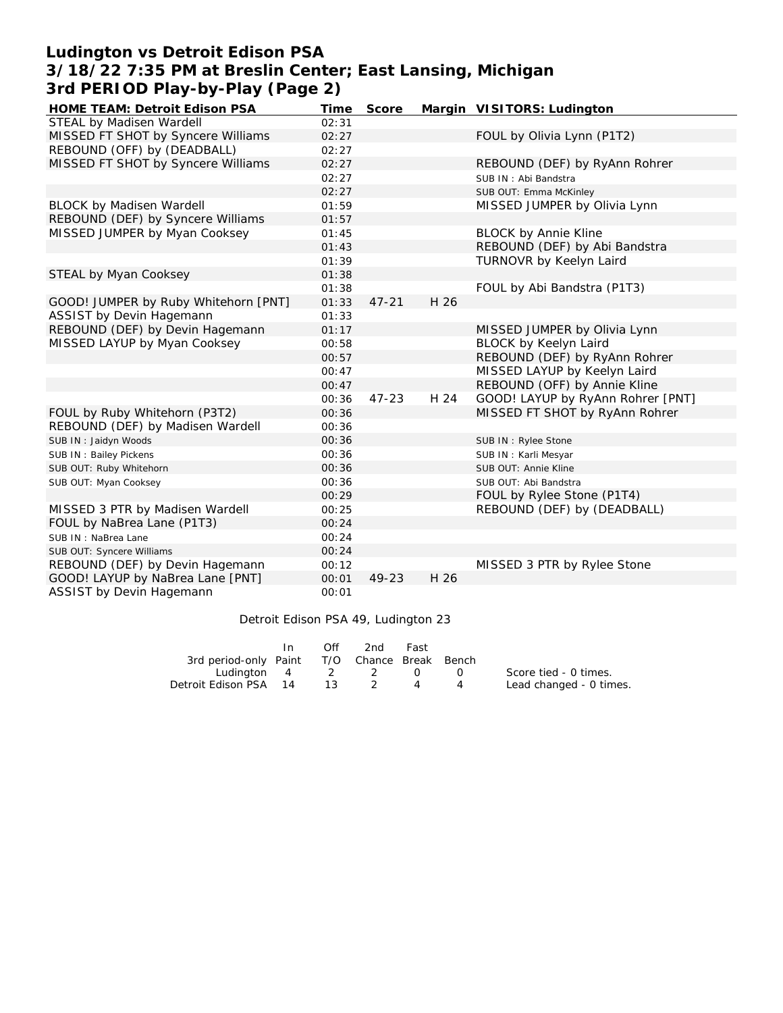# **Ludington vs Detroit Edison PSA 3/18/22 7:35 PM at Breslin Center; East Lansing, Michigan 3rd PERIOD Play-by-Play (Page 2)**

| HOME TEAM: Detroit Edison PSA        | Time  | Score     |      | Margin VISITORS: Ludington        |
|--------------------------------------|-------|-----------|------|-----------------------------------|
| STEAL by Madisen Wardell             | 02:31 |           |      |                                   |
| MISSED FT SHOT by Syncere Williams   | 02:27 |           |      | FOUL by Olivia Lynn (P1T2)        |
| REBOUND (OFF) by (DEADBALL)          | 02:27 |           |      |                                   |
| MISSED FT SHOT by Syncere Williams   | 02:27 |           |      | REBOUND (DEF) by RyAnn Rohrer     |
|                                      | 02:27 |           |      | SUB IN: Abi Bandstra              |
|                                      | 02:27 |           |      | SUB OUT: Emma McKinley            |
| <b>BLOCK by Madisen Wardell</b>      | 01:59 |           |      | MISSED JUMPER by Olivia Lynn      |
| REBOUND (DEF) by Syncere Williams    | 01:57 |           |      |                                   |
| MISSED JUMPER by Myan Cooksey        | 01:45 |           |      | <b>BLOCK by Annie Kline</b>       |
|                                      | 01:43 |           |      | REBOUND (DEF) by Abi Bandstra     |
|                                      | 01:39 |           |      | TURNOVR by Keelyn Laird           |
| STEAL by Myan Cooksey                | 01:38 |           |      |                                   |
|                                      | 01:38 |           |      | FOUL by Abi Bandstra (P1T3)       |
| GOOD! JUMPER by Ruby Whitehorn [PNT] | 01:33 | $47 - 21$ | H 26 |                                   |
| ASSIST by Devin Hagemann             | 01:33 |           |      |                                   |
| REBOUND (DEF) by Devin Hagemann      | 01:17 |           |      | MISSED JUMPER by Olivia Lynn      |
| MISSED LAYUP by Myan Cooksey         | 00:58 |           |      | BLOCK by Keelyn Laird             |
|                                      | 00:57 |           |      | REBOUND (DEF) by RyAnn Rohrer     |
|                                      | 00:47 |           |      | MISSED LAYUP by Keelyn Laird      |
|                                      | 00:47 |           |      | REBOUND (OFF) by Annie Kline      |
|                                      | 00:36 | $47 - 23$ | H 24 | GOOD! LAYUP by RyAnn Rohrer [PNT] |
| FOUL by Ruby Whitehorn (P3T2)        | 00:36 |           |      | MISSED FT SHOT by RyAnn Rohrer    |
| REBOUND (DEF) by Madisen Wardell     | 00:36 |           |      |                                   |
| SUB IN: Jaidyn Woods                 | 00:36 |           |      | SUB IN: Rylee Stone               |
| SUB IN: Bailey Pickens               | 00:36 |           |      | SUB IN: Karli Mesyar              |
| SUB OUT: Ruby Whitehorn              | 00:36 |           |      | SUB OUT: Annie Kline              |
| SUB OUT: Myan Cooksey                | 00:36 |           |      | SUB OUT: Abi Bandstra             |
|                                      | 00:29 |           |      | FOUL by Rylee Stone (P1T4)        |
| MISSED 3 PTR by Madisen Wardell      | 00:25 |           |      | REBOUND (DEF) by (DEADBALL)       |
| FOUL by NaBrea Lane (P1T3)           | 00:24 |           |      |                                   |
| SUB IN: NaBrea Lane                  | 00:24 |           |      |                                   |
| SUB OUT: Syncere Williams            | 00:24 |           |      |                                   |
| REBOUND (DEF) by Devin Hagemann      | 00:12 |           |      | MISSED 3 PTR by Rylee Stone       |
| GOOD! LAYUP by NaBrea Lane [PNT]     | 00:01 | 49-23     | H 26 |                                   |
| ASSIST by Devin Hagemann             | 00:01 |           |      |                                   |

#### Detroit Edison PSA 49, Ludington 23

|                                              | In. | Off | 2nd | Fast |                  |                         |
|----------------------------------------------|-----|-----|-----|------|------------------|-------------------------|
| 3rd period-only Paint T/O Chance Break Bench |     |     |     |      |                  |                         |
| Ludington 4 2 2 0                            |     |     |     |      | $\left( \right)$ | Score tied - 0 times.   |
| Detroit Edison PSA 14                        |     | 13. |     |      |                  | Lead changed - 0 times. |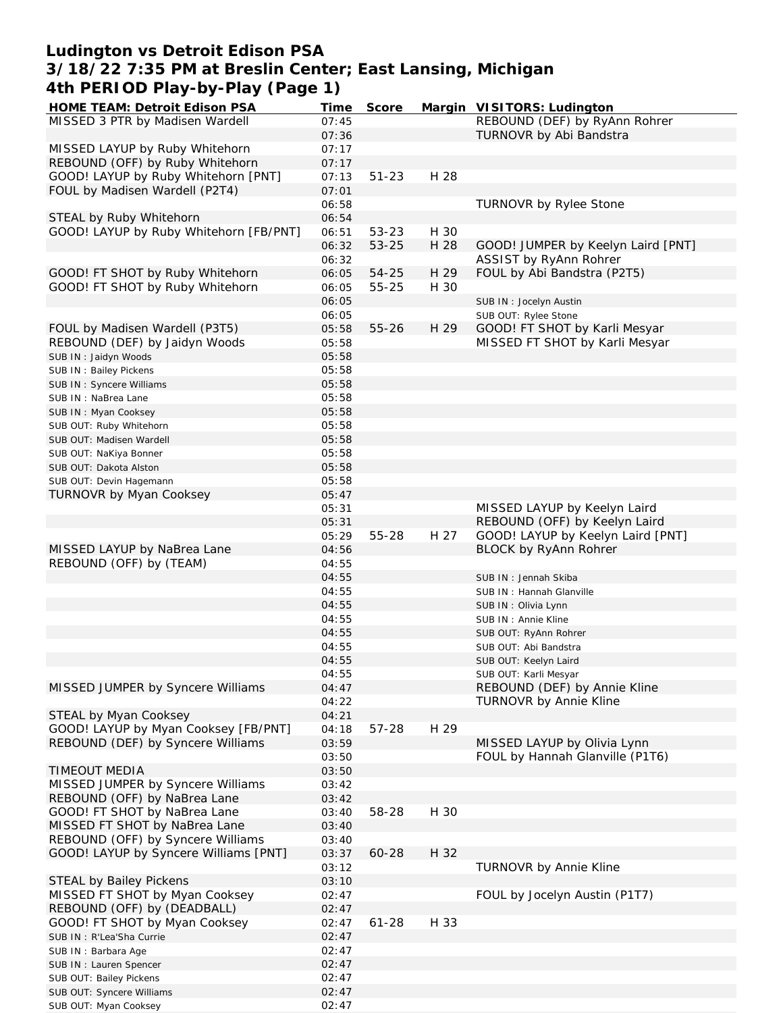## **Ludington vs Detroit Edison PSA 3/18/22 7:35 PM at Breslin Center; East Lansing, Michigan 4th PERIOD Play-by-Play (Page 1)**

| HOME TEAM: Detroit Edison PSA          | Time  | Score     |      | Margin VISITORS: Ludington         |
|----------------------------------------|-------|-----------|------|------------------------------------|
| MISSED 3 PTR by Madisen Wardell        | 07:45 |           |      | REBOUND (DEF) by RyAnn Rohrer      |
|                                        | 07:36 |           |      | TURNOVR by Abi Bandstra            |
| MISSED LAYUP by Ruby Whitehorn         | 07:17 |           |      |                                    |
|                                        |       |           |      |                                    |
| REBOUND (OFF) by Ruby Whitehorn        | 07:17 |           |      |                                    |
| GOOD! LAYUP by Ruby Whitehorn [PNT]    | 07:13 | $51 - 23$ | H 28 |                                    |
| FOUL by Madisen Wardell (P2T4)         | 07:01 |           |      |                                    |
|                                        | 06:58 |           |      | TURNOVR by Rylee Stone             |
| STEAL by Ruby Whitehorn                | 06:54 |           |      |                                    |
| GOOD! LAYUP by Ruby Whitehorn [FB/PNT] | 06:51 | 53-23     | H 30 |                                    |
|                                        |       |           |      |                                    |
|                                        | 06:32 | 53-25     | H 28 | GOOD! JUMPER by Keelyn Laird [PNT] |
|                                        | 06:32 |           |      | ASSIST by RyAnn Rohrer             |
| GOOD! FT SHOT by Ruby Whitehorn        | 06:05 | 54-25     | H 29 | FOUL by Abi Bandstra (P2T5)        |
| GOOD! FT SHOT by Ruby Whitehorn        | 06:05 | 55-25     | H 30 |                                    |
|                                        | 06:05 |           |      | SUB IN : Jocelyn Austin            |
|                                        |       |           |      |                                    |
|                                        | 06:05 |           |      | SUB OUT: Rylee Stone               |
| FOUL by Madisen Wardell (P3T5)         | 05:58 | $55 - 26$ | H 29 | GOOD! FT SHOT by Karli Mesyar      |
| REBOUND (DEF) by Jaidyn Woods          | 05:58 |           |      | MISSED FT SHOT by Karli Mesyar     |
| SUB IN: Jaidyn Woods                   | 05:58 |           |      |                                    |
| SUB IN: Bailey Pickens                 | 05:58 |           |      |                                    |
|                                        | 05:58 |           |      |                                    |
| SUB IN: Syncere Williams               |       |           |      |                                    |
| SUB IN : NaBrea Lane                   | 05:58 |           |      |                                    |
| SUB IN: Myan Cooksey                   | 05:58 |           |      |                                    |
| SUB OUT: Ruby Whitehorn                | 05:58 |           |      |                                    |
| SUB OUT: Madisen Wardell               | 05:58 |           |      |                                    |
|                                        | 05:58 |           |      |                                    |
| SUB OUT: NaKiya Bonner                 |       |           |      |                                    |
| SUB OUT: Dakota Alston                 | 05:58 |           |      |                                    |
| SUB OUT: Devin Hagemann                | 05:58 |           |      |                                    |
| <b>TURNOVR by Myan Cooksey</b>         | 05:47 |           |      |                                    |
|                                        | 05:31 |           |      | MISSED LAYUP by Keelyn Laird       |
|                                        | 05:31 |           |      | REBOUND (OFF) by Keelyn Laird      |
|                                        |       |           |      |                                    |
|                                        | 05:29 | 55-28     | H 27 | GOOD! LAYUP by Keelyn Laird [PNT]  |
| MISSED LAYUP by NaBrea Lane            | 04:56 |           |      | BLOCK by RyAnn Rohrer              |
| REBOUND (OFF) by (TEAM)                | 04:55 |           |      |                                    |
|                                        | 04:55 |           |      | SUB IN: Jennah Skiba               |
|                                        | 04:55 |           |      | SUB IN: Hannah Glanville           |
|                                        | 04:55 |           |      |                                    |
|                                        |       |           |      | SUB IN: Olivia Lynn                |
|                                        | 04:55 |           |      | SUB IN : Annie Kline               |
|                                        | 04:55 |           |      | SUB OUT: RyAnn Rohrer              |
|                                        | 04:55 |           |      | SUB OUT: Abi Bandstra              |
|                                        | 04:55 |           |      | SUB OUT: Keelyn Laird              |
|                                        | 04:55 |           |      | SUB OUT: Karli Mesyar              |
|                                        |       |           |      | REBOUND (DEF) by Annie Kline       |
| MISSED JUMPER by Syncere Williams      | 04:47 |           |      |                                    |
|                                        | 04:22 |           |      | TURNOVR by Annie Kline             |
| STEAL by Myan Cooksey                  | 04:21 |           |      |                                    |
| GOOD! LAYUP by Myan Cooksey [FB/PNT]   | 04:18 | 57-28     | H 29 |                                    |
| REBOUND (DEF) by Syncere Williams      | 03:59 |           |      | MISSED LAYUP by Olivia Lynn        |
|                                        |       |           |      | FOUL by Hannah Glanville (P1T6)    |
|                                        | 03:50 |           |      |                                    |
| TIMEOUT MEDIA                          | 03:50 |           |      |                                    |
| MISSED JUMPER by Syncere Williams      | 03:42 |           |      |                                    |
| REBOUND (OFF) by NaBrea Lane           | 03:42 |           |      |                                    |
| GOOD! FT SHOT by NaBrea Lane           | 03:40 | 58-28     | H 30 |                                    |
| MISSED FT SHOT by NaBrea Lane          | 03:40 |           |      |                                    |
|                                        |       |           |      |                                    |
| REBOUND (OFF) by Syncere Williams      | 03:40 |           |      |                                    |
| GOOD! LAYUP by Syncere Williams [PNT]  | 03:37 | 60-28     | H 32 |                                    |
|                                        | 03:12 |           |      | TURNOVR by Annie Kline             |
| <b>STEAL by Bailey Pickens</b>         | 03:10 |           |      |                                    |
| MISSED FT SHOT by Myan Cooksey         | 02:47 |           |      | FOUL by Jocelyn Austin (P1T7)      |
|                                        |       |           |      |                                    |
| REBOUND (OFF) by (DEADBALL)            | 02:47 |           |      |                                    |
| GOOD! FT SHOT by Myan Cooksey          | 02:47 | $61 - 28$ | H 33 |                                    |
| SUB IN: R'Lea'Sha Currie               | 02:47 |           |      |                                    |
| SUB IN: Barbara Age                    | 02:47 |           |      |                                    |
| SUB IN : Lauren Spencer                | 02:47 |           |      |                                    |
|                                        |       |           |      |                                    |
| SUB OUT: Bailey Pickens                | 02:47 |           |      |                                    |
| SUB OUT: Syncere Williams              | 02:47 |           |      |                                    |
| SUB OUT: Myan Cooksey                  | 02:47 |           |      |                                    |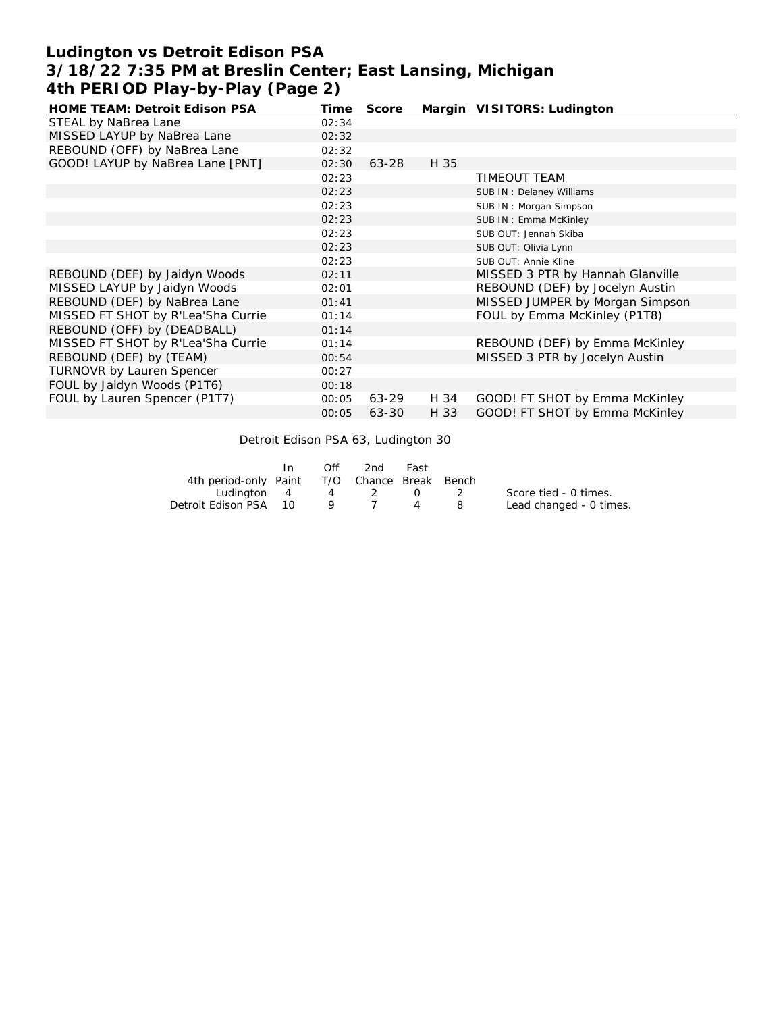# **Ludington vs Detroit Edison PSA 3/18/22 7:35 PM at Breslin Center; East Lansing, Michigan 4th PERIOD Play-by-Play (Page 2)**

| HOME TEAM: Detroit Edison PSA      | Time  | Score |      | Margin VISITORS: Ludington       |
|------------------------------------|-------|-------|------|----------------------------------|
| STEAL by NaBrea Lane               | 02:34 |       |      |                                  |
| MISSED LAYUP by NaBrea Lane        | 02:32 |       |      |                                  |
| REBOUND (OFF) by NaBrea Lane       | 02:32 |       |      |                                  |
| GOOD! LAYUP by NaBrea Lane [PNT]   | 02:30 | 63-28 | H 35 |                                  |
|                                    | 02:23 |       |      | <b>TIMEOUT TEAM</b>              |
|                                    | 02:23 |       |      | SUB IN: Delaney Williams         |
|                                    | 02:23 |       |      | SUB IN: Morgan Simpson           |
|                                    | 02:23 |       |      | SUB IN: Emma McKinley            |
|                                    | 02:23 |       |      | SUB OUT: Jennah Skiba            |
|                                    | 02:23 |       |      | SUB OUT: Olivia Lynn             |
|                                    | 02:23 |       |      | SUB OUT: Annie Kline             |
| REBOUND (DEF) by Jaidyn Woods      | 02:11 |       |      | MISSED 3 PTR by Hannah Glanville |
| MISSED LAYUP by Jaidyn Woods       | 02:01 |       |      | REBOUND (DEF) by Jocelyn Austin  |
| REBOUND (DEF) by NaBrea Lane       | 01:41 |       |      | MISSED JUMPER by Morgan Simpson  |
| MISSED FT SHOT by R'Lea'Sha Currie | 01:14 |       |      | FOUL by Emma McKinley (P1T8)     |
| REBOUND (OFF) by (DEADBALL)        | 01:14 |       |      |                                  |
| MISSED FT SHOT by R'Lea'Sha Currie | 01:14 |       |      | REBOUND (DEF) by Emma McKinley   |
| REBOUND (DEF) by (TEAM)            | 00:54 |       |      | MISSED 3 PTR by Jocelyn Austin   |
| <b>TURNOVR by Lauren Spencer</b>   | 00:27 |       |      |                                  |
| FOUL by Jaidyn Woods (P1T6)        | 00:18 |       |      |                                  |
| FOUL by Lauren Spencer (P1T7)      | 00:05 | 63-29 | H 34 | GOOD! FT SHOT by Emma McKinley   |
|                                    | 00:05 | 63-30 | H 33 | GOOD! FT SHOT by Emma McKinley   |

Detroit Edison PSA 63, Ludington 30

|                                              | In. | Off | 2nd | Fast |          |                         |
|----------------------------------------------|-----|-----|-----|------|----------|-------------------------|
| 4th period-only Paint T/O Chance Break Bench |     |     |     |      |          |                         |
| Ludinaton 4 4 2 0                            |     |     |     |      | $\sim$ 2 | Score tied - 0 times.   |
| Detroit Edison PSA 10                        |     | -9  |     |      | - 8      | Lead changed - 0 times. |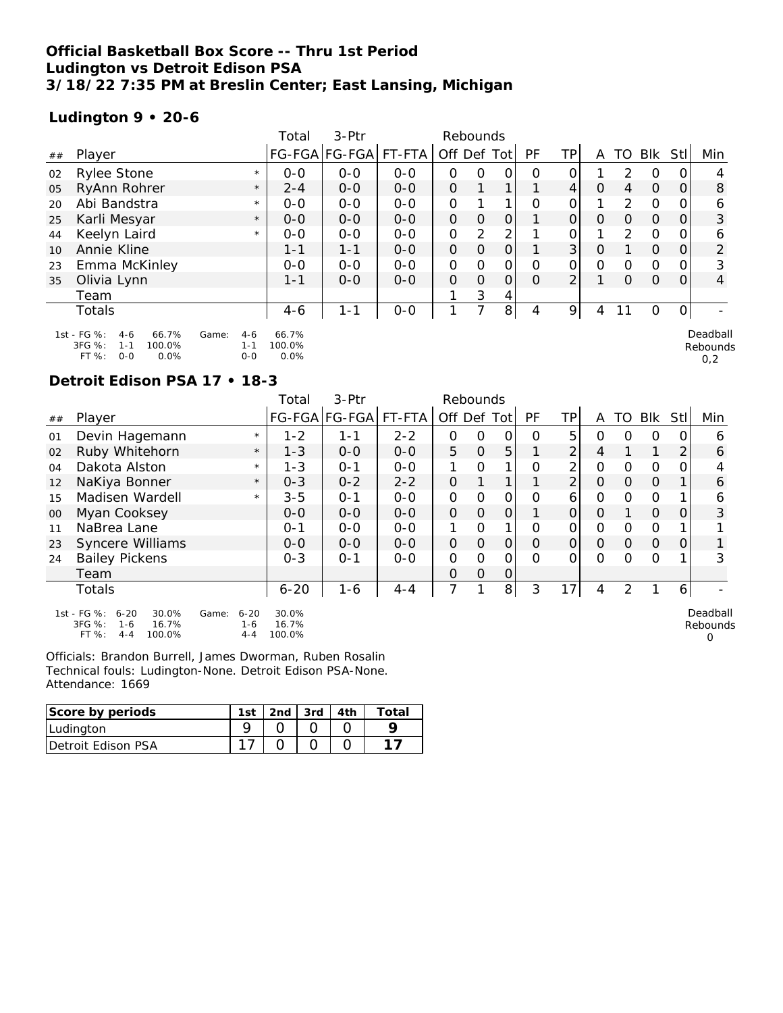#### **Official Basketball Box Score -- Thru 1st Period Ludington vs Detroit Edison PSA 3/18/22 7:35 PM at Breslin Center; East Lansing, Michigan**

## **Ludington 9 • 20-6**

|    |                                                 |         | Total   | $3-$ Ptr      |         | Rebounds      |               |                |    |                |          |               |             |                |          |
|----|-------------------------------------------------|---------|---------|---------------|---------|---------------|---------------|----------------|----|----------------|----------|---------------|-------------|----------------|----------|
| ## | Player                                          |         |         | FG-FGA FG-FGA | FT-FTA  | Off Def Tot   |               |                | PF | TP             | A        | TO            | Blk         | StII           | Min      |
| 02 | Rylee Stone                                     | $\star$ | $0 - 0$ | $O - O$       | $O - O$ | 0             | 0             | 0              | O  | 0              |          | $\mathcal{L}$ | 0           | $\overline{O}$ |          |
| 05 | RyAnn Rohrer                                    | $\star$ | $2 - 4$ | $0-0$         | $0-0$   | $\mathcal{O}$ |               |                |    | 4              | 0        | 4             | $\Omega$    | $\Omega$       | 8        |
| 20 | Abi Bandstra                                    | $\star$ | $0 - 0$ | $0 - 0$       | $0 - 0$ | O             |               | $\mathbf{1}$   | O  | 0              |          | $\mathcal{P}$ | $\mathbf 0$ | 0              | 6        |
| 25 | Karli Mesyar                                    | $\star$ | $0 - 0$ | $O - O$       | $0 - 0$ | $\Omega$      | $\Omega$      | $\overline{O}$ |    | $\overline{O}$ | $\Omega$ | $\Omega$      | $\Omega$    | $\overline{O}$ | 3        |
| 44 | Keelyn Laird                                    | $\star$ | $O-O$   | $0 - 0$       | $O - O$ | 0             | $\mathcal{P}$ | 2              |    | 0              |          | $\mathcal{P}$ | $\Omega$    | O.             | 6        |
| 10 | Annie Kline                                     |         | $1 - 1$ | $1 - 1$       | $0 - 0$ | $\mathcal{O}$ | $\Omega$      | 0              |    | 3 <sup>1</sup> | $\circ$  |               | $\Omega$    | $\overline{O}$ | 2        |
| 23 | Emma McKinley                                   |         | $0 - 0$ | $0 - 0$       | $0 - 0$ | 0             | $\Omega$      | 0              | O  | 0              | $\Omega$ | $\Omega$      | 0           | $\Omega$       | 3        |
| 35 | Olivia Lynn                                     |         | $1 - 1$ | $0 - 0$       | $0 - 0$ | $\Omega$      | $\Omega$      | $\mathcal{O}$  | O  | $\overline{2}$ |          | $\Omega$      | $\Omega$    | $\Omega$       | 4        |
|    | Team                                            |         |         |               |         |               | 3             | 4              |    |                |          |               |             |                |          |
|    | Totals                                          |         | $4-6$   | $1 - 1$       | $0-0$   |               |               | 8              | 4  | 9              | 4        |               | O           | $\overline{O}$ |          |
|    | 1st - FG %:<br>66.7%<br>$4-6$<br>$4-6$<br>Game: |         | 66.7%   |               |         |               |               |                |    |                |          |               |             |                | Deadball |

Rebounds 0,2

1st - FG %: 4-6 66.7% 3FG %: 1-1 100.0% FT %: 0-0 0.0% Game: 4-6 66.7% 1-1 100.0% 0-0 0.0%

#### **Detroit Edison PSA 17 • 18-3**

|        |                                                                                              |                                         | Total                    | 3-Ptr                |         | Rebounds      |               |                |           |                |               |          |               |                |                           |
|--------|----------------------------------------------------------------------------------------------|-----------------------------------------|--------------------------|----------------------|---------|---------------|---------------|----------------|-----------|----------------|---------------|----------|---------------|----------------|---------------------------|
| ##     | Player                                                                                       |                                         |                          | FG-FGA FG-FGA FT-FTA |         | Off Def Tot   |               |                | <b>PF</b> | TPI            | A             | TO       | Blk           | Stll           | Min                       |
| 01     | Devin Hagemann                                                                               | $\star$                                 | $1 - 2$                  | 1-1                  | $2 - 2$ | 0             | 0             | 0              | $\Omega$  | 5              | 0             | Ο        | 0             | 0              | 6                         |
| 02     | Ruby Whitehorn                                                                               | $\star$                                 | $1 - 3$                  | $0 - 0$              | $0 - 0$ | 5             | $\mathcal{O}$ | 5              |           | $\overline{2}$ | 4             |          |               | $\overline{2}$ | 6                         |
| 04     | Dakota Alston                                                                                | $\star$                                 | $1 - 3$                  | $O - 1$              | $0 - 0$ | 1             | O             | 1              | O         | 2              | $\mathbf 0$   | $\Omega$ | $\Omega$      | 0              | 4                         |
| 12     | NaKiya Bonner                                                                                | $\star$                                 | $0 - 3$                  | $0 - 2$              | $2 - 2$ | $\mathcal{O}$ |               | $\mathbf{1}$   |           | $\overline{2}$ | $\mathcal{O}$ | $\Omega$ | $\mathcal{O}$ |                | 6                         |
| 15     | Madisen Wardell                                                                              | $\star$                                 | $3 - 5$                  | $O - 1$              | $0 - 0$ | 0             | O             | 0              | O         | 6              | 0             | 0        | $\Omega$      |                | 6                         |
| $00\,$ | Myan Cooksey                                                                                 |                                         | $O - O$                  | $0 - 0$              | $0-0$   | $\mathcal{O}$ | $\Omega$      | $\Omega$       |           | 0              | $\mathcal{O}$ |          | $\mathcal{O}$ | 0              | 3                         |
| 11     | NaBrea Lane                                                                                  |                                         | $0 - 1$                  | $O-O$                | $O - O$ | 1             | $\Omega$      | 1              | O         | $\Omega$       | $\mathbf 0$   | 0        | $\mathcal{O}$ |                |                           |
| 23     | <b>Syncere Williams</b>                                                                      |                                         | $0 - 0$                  | $0 - 0$              | $0-0$   | $\mathcal{O}$ | $\mathcal{O}$ | $\Omega$       | $\Omega$  | 0              | $\Omega$      | $\Omega$ | $\mathbf{O}$  | $\overline{O}$ |                           |
| 24     | <b>Bailey Pickens</b>                                                                        |                                         | $0 - 3$                  | $O - 1$              | $0 - 0$ | 0             | O             | 0              | O         | 0              | $\Omega$      | $\Omega$ | $\Omega$      |                | 3                         |
|        | Team                                                                                         |                                         |                          |                      |         | $\Omega$      | $\Omega$      | $\Omega$       |           |                |               |          |               |                |                           |
|        | Totals                                                                                       |                                         | $6 - 20$                 | $1 - 6$              | $4 - 4$ | 7             |               | 8 <sup>1</sup> | 3         | 17             | 4             | 2        |               | 6              |                           |
|        | 1st - FG %:<br>$6 - 20$<br>30.0%<br>3FG %:<br>16.7%<br>$1 - 6$<br>FT %:<br>100.0%<br>$4 - 4$ | $6 - 20$<br>Game:<br>$1 - 6$<br>$4 - 4$ | 30.0%<br>16.7%<br>100.0% |                      |         |               |               |                |           |                |               |          |               |                | Deadball<br>Rebounds<br>0 |

| Score by periods   | 1st | .2nd' | $3rd$ | ⊺ิ∩†ลI |
|--------------------|-----|-------|-------|--------|
| Ludington          |     |       |       |        |
| Detroit Edison PSA |     |       |       |        |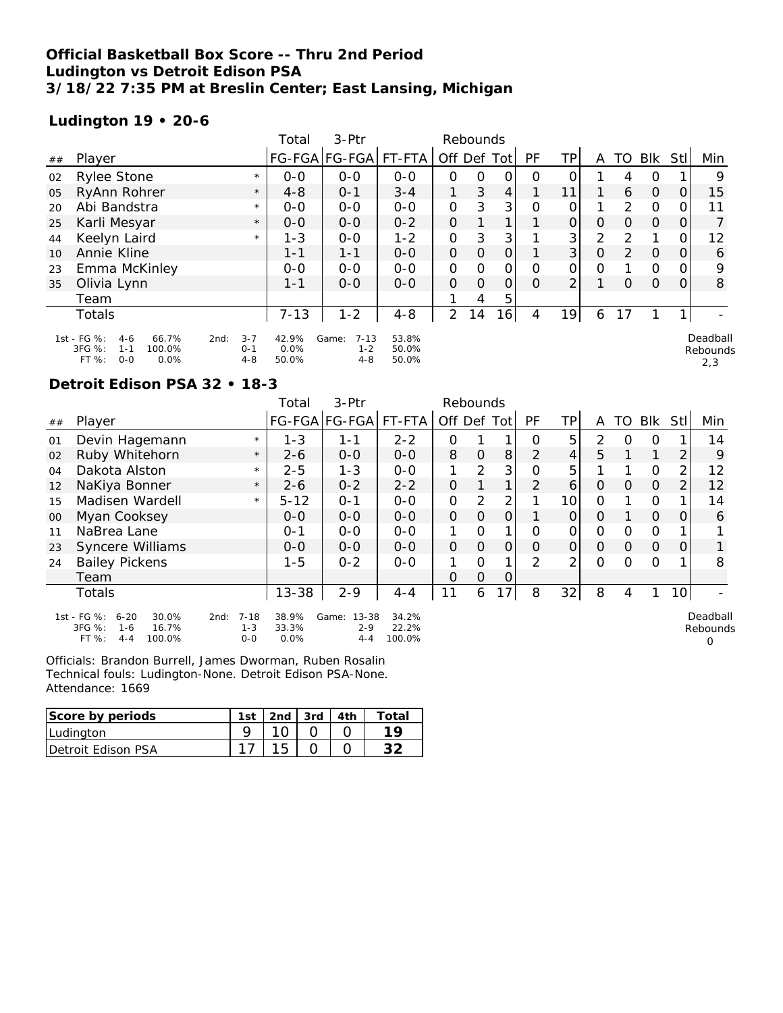## **Official Basketball Box Score -- Thru 2nd Period Ludington vs Detroit Edison PSA 3/18/22 7:35 PM at Breslin Center; East Lansing, Michigan**

## **Ludington 19 • 20-6**

|    |                                                                                            |                                       | Total                  | 3-Ptr                                   |                         |                | Rebounds |                |    |                |               |                |                |          |                             |
|----|--------------------------------------------------------------------------------------------|---------------------------------------|------------------------|-----------------------------------------|-------------------------|----------------|----------|----------------|----|----------------|---------------|----------------|----------------|----------|-----------------------------|
| ## | Player                                                                                     |                                       |                        | FG-FGA FG-FGA FT-FTA                    |                         | Off Def Tot    |          |                | PF | ΤP             | A             |                | TO BIK         | Stll     | Min                         |
| 02 | <b>Rylee Stone</b>                                                                         | $\star$                               | $0 - 0$                | $0 - 0$                                 | $O-O$                   | Ο              | 0        | 0              | 0  | 0              |               | 4              | 0              |          | 9                           |
| 05 | RyAnn Rohrer                                                                               | $\star$                               | $4 - 8$                | $O - 1$                                 | $3 - 4$                 |                | 3        | $\overline{4}$ | 1. | 11             |               | 6              | $\overline{0}$ | $\Omega$ | 15                          |
| 20 | Abi Bandstra                                                                               | $\star$                               | $0 - 0$                | $0-0$                                   | $0-0$                   | 0              | 3        | 3 <sub>l</sub> | 0  | 0              |               | $\overline{2}$ | $\mathbf 0$    |          | 11                          |
| 25 | Karli Mesyar                                                                               | $\star$                               | $O - O$                | $O - O$                                 | $0 - 2$                 | $\Omega$       |          | 1 <sub>1</sub> |    | $\overline{O}$ | $\Omega$      | $\Omega$       | $\mathbf 0$    | Ο        |                             |
| 44 | Keelyn Laird                                                                               | $\star$                               | $1 - 3$                | $0 - 0$                                 | $1 - 2$                 | 0              | 3        | 3              |    | 3              | 2             | 2              |                |          | 12                          |
| 10 | Annie Kline                                                                                |                                       | $1 - 1$                | $1 - 1$                                 | $0 - 0$                 | $\Omega$       | $\Omega$ | $\Omega$       |    | 3 <sup>1</sup> | $\mathcal{O}$ | 2              | $\overline{O}$ | Ο        | 6                           |
| 23 | Emma McKinley                                                                              |                                       | $O - O$                | $0 - 0$                                 | $0 - 0$                 | 0              | $\Omega$ | $\Omega$       | 0  | 0              | $\Omega$      |                | $\Omega$       |          | 9                           |
| 35 | Olivia Lynn                                                                                |                                       | $1 - 1$                | $0 - 0$                                 | $0-0$                   | 0              | $\Omega$ | 0              | 0  | $\overline{2}$ |               | $\Omega$       | $\Omega$       | Ο        | 8                           |
|    | Team                                                                                       |                                       |                        |                                         |                         |                | 4        | 5              |    |                |               |                |                |          |                             |
|    | Totals                                                                                     |                                       | $7 - 13$               | $1 - 2$                                 | $4 - 8$                 | $\overline{2}$ | 14       | 16             | 4  | 19             | 6             | 17             |                |          |                             |
|    | 1st - FG %:<br>66.7%<br>$4 - 6$<br>3FG %:<br>100.0%<br>$1 - 1$<br>FT %:<br>$O - O$<br>0.0% | $3 - 7$<br>2nd:<br>$0 - 1$<br>$4 - 8$ | 42.9%<br>0.0%<br>50.0% | Game:<br>$7 - 13$<br>$1 - 2$<br>$4 - 8$ | 53.8%<br>50.0%<br>50.0% |                |          |                |    |                |               |                |                |          | Deadball<br>Rebounds<br>2,3 |

## **Detroit Edison PSA 32 • 18-3**

|        |                                                                                              |                                        | Total                  | 3-Ptr                                |                          | Rebounds      |                |              |                |                |               |          |               |                |                           |
|--------|----------------------------------------------------------------------------------------------|----------------------------------------|------------------------|--------------------------------------|--------------------------|---------------|----------------|--------------|----------------|----------------|---------------|----------|---------------|----------------|---------------------------|
| ##     | Player                                                                                       |                                        |                        | FG-FGA FG-FGA  FT-FTA                |                          | Off Def Tot   |                |              | PF             | TP             | A             | TO       | Blk           | StI            | Min                       |
| 01     | Devin Hagemann                                                                               | $\star$                                | $1 - 3$                | 1-1                                  | $2 - 2$                  | 0             |                |              | O              | 5              | $\mathcal{P}$ | $\Omega$ | $\Omega$      |                | 14                        |
| 02     | Ruby Whitehorn                                                                               | $\star$                                | $2 - 6$                | $0 - 0$                              | $0 - 0$                  | 8             | $\overline{O}$ | 8            | 2              | $\overline{4}$ | 5.            |          |               | 2              | 9                         |
| 04     | Dakota Alston                                                                                | $\star$                                | $2 - 5$                | $1 - 3$                              | $O-O$                    | 1             | $\mathcal{P}$  | 3            | Ο              | 5              |               |          | $\Omega$      | 2              | 12                        |
| 12     | NaKiya Bonner                                                                                | $\star$                                | $2 - 6$                | $0 - 2$                              | $2 - 2$                  | $\Omega$      |                |              | $\overline{2}$ | 6              | $\Omega$      | $\Omega$ | $\mathbf 0$   | 2              | 12                        |
| 15     | Madisen Wardell                                                                              | $\star$                                | $5 - 12$               | $0 - 1$                              | $0-0$                    | 0             | 2              | 2            |                | 10             | $\Omega$      |          | $\Omega$      |                | 14                        |
| $00\,$ | Myan Cooksey                                                                                 |                                        | $0 - 0$                | $0 - 0$                              | $0 - 0$                  | $\Omega$      | $\Omega$       | 0            |                | $\Omega$       | $\Omega$      |          | $\mathcal{O}$ | $\Omega$       | 6                         |
| 11     | NaBrea Lane                                                                                  |                                        | $O - 1$                | $0 - 0$                              | $0 - 0$                  |               | O              |              | Ο              | 0              | $\Omega$      | $\Omega$ | $\circ$       |                |                           |
| 23     | Syncere Williams                                                                             |                                        | $0 - 0$                | $O-O$                                | $0 - 0$                  | $\mathcal{O}$ | $\mathbf{O}$   | $\mathbf{O}$ | O              | $\mathcal{O}$  | $\Omega$      | $\Omega$ | $\mathbf 0$   | $\overline{O}$ |                           |
| 24     | <b>Bailey Pickens</b>                                                                        |                                        | 1-5                    | $0 - 2$                              | $O-O$                    |               | $\Omega$       |              | $\mathcal{P}$  | 2              | $\Omega$      | $\Omega$ | $\Omega$      |                | 8                         |
|        | Team                                                                                         |                                        |                        |                                      |                          | 0             | $\overline{O}$ | 0            |                |                |               |          |               |                |                           |
|        | Totals                                                                                       |                                        | $13 - 38$              | $2 - 9$                              | $4 - 4$                  | 11            | 6              | 17           | 8              | 32             | 8             | 4        |               | 10             |                           |
|        | 1st - FG %:<br>$6 - 20$<br>30.0%<br>3FG %:<br>16.7%<br>$1 - 6$<br>FT %:<br>100.0%<br>$4 - 4$ | $7 - 18$<br>2nd:<br>$1 - 3$<br>$0 - 0$ | 38.9%<br>33.3%<br>0.0% | 13-38<br>Game:<br>$2 - 9$<br>$4 - 4$ | 34.2%<br>22.2%<br>100.0% |               |                |              |                |                |               |          |               |                | Deadball<br>Rebounds<br>O |

| Score by periods           | 1st | . 2nd   3rd   4th |  | Total |
|----------------------------|-----|-------------------|--|-------|
| Ludington                  |     |                   |  |       |
| <b>IDetroit Edison PSA</b> |     |                   |  |       |